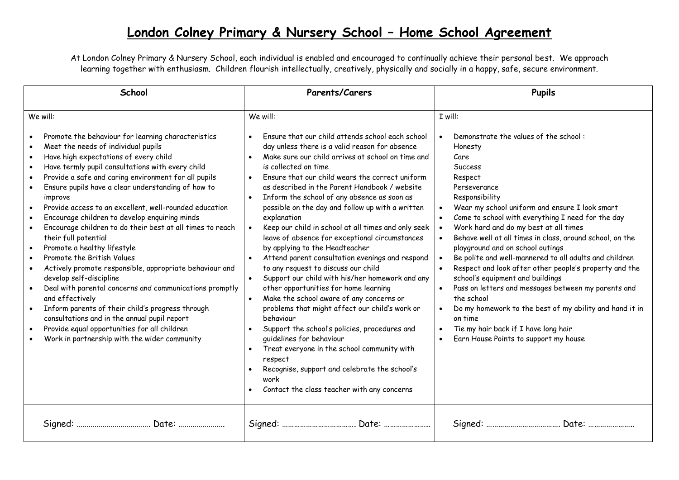## **London Colney Primary & Nursery School – Home School Agreement**

At London Colney Primary & Nursery School, each individual is enabled and encouraged to continually achieve their personal best. We approach learning together with enthusiasm. Children flourish intellectually, creatively, physically and socially in a happy, safe, secure environment.

| School                                                                                                                                                                                                                                                                                                                                                                                                                                                                                                                                                                                                                                                                                                                                                                                                                                                                                                                                                                                                                            | Parents/Carers                                                                                                                                                                                                                                                                                                                                                                                                                                                                                                                                                                                                                                                                                                                                                                                                                                                                                                                                                                                                                                                                                                                                                                | <b>Pupils</b>                                                                                                                                                                                                                                                                                                                                                                                                                                                                                                                                                                                                                                                                                                                                                          |
|-----------------------------------------------------------------------------------------------------------------------------------------------------------------------------------------------------------------------------------------------------------------------------------------------------------------------------------------------------------------------------------------------------------------------------------------------------------------------------------------------------------------------------------------------------------------------------------------------------------------------------------------------------------------------------------------------------------------------------------------------------------------------------------------------------------------------------------------------------------------------------------------------------------------------------------------------------------------------------------------------------------------------------------|-------------------------------------------------------------------------------------------------------------------------------------------------------------------------------------------------------------------------------------------------------------------------------------------------------------------------------------------------------------------------------------------------------------------------------------------------------------------------------------------------------------------------------------------------------------------------------------------------------------------------------------------------------------------------------------------------------------------------------------------------------------------------------------------------------------------------------------------------------------------------------------------------------------------------------------------------------------------------------------------------------------------------------------------------------------------------------------------------------------------------------------------------------------------------------|------------------------------------------------------------------------------------------------------------------------------------------------------------------------------------------------------------------------------------------------------------------------------------------------------------------------------------------------------------------------------------------------------------------------------------------------------------------------------------------------------------------------------------------------------------------------------------------------------------------------------------------------------------------------------------------------------------------------------------------------------------------------|
| We will:<br>Promote the behaviour for learning characteristics<br>Meet the needs of individual pupils<br>Have high expectations of every child<br>$\bullet$<br>Have termly pupil consultations with every child<br>$\bullet$<br>Provide a safe and caring environment for all pupils<br>Ensure pupils have a clear understanding of how to<br>improve<br>Provide access to an excellent, well-rounded education<br>$\bullet$<br>Encourage children to develop enquiring minds<br>Encourage children to do their best at all times to reach<br>their full potential<br>Promote a healthy lifestyle<br>$\bullet$<br>Promote the British Values<br>Actively promote responsible, appropriate behaviour and<br>develop self-discipline<br>Deal with parental concerns and communications promptly<br>and effectively<br>Inform parents of their child's progress through<br>consultations and in the annual pupil report<br>Provide equal opportunities for all children<br>$\bullet$<br>Work in partnership with the wider community | We will:<br>Ensure that our child attends school each school<br>day unless there is a valid reason for absence<br>Make sure our child arrives at school on time and<br>$\bullet$<br>is collected on time<br>Ensure that our child wears the correct uniform<br>$\bullet$<br>as described in the Parent Handbook / website<br>Inform the school of any absence as soon as<br>$\bullet$<br>possible on the day and follow up with a written<br>explanation<br>Keep our child in school at all times and only seek<br>leave of absence for exceptional circumstances<br>by applying to the Headteacher<br>Attend parent consultation evenings and respond<br>to any request to discuss our child<br>Support our child with his/her homework and any<br>other opportunities for home learning<br>Make the school aware of any concerns or<br>problems that might affect our child's work or<br>behaviour<br>Support the school's policies, procedures and<br>$\bullet$<br>quidelines for behaviour<br>Treat everyone in the school community with<br>$\bullet$<br>respect<br>Recognise, support and celebrate the school's<br>work<br>Contact the class teacher with any concerns | I will:<br>Demonstrate the values of the school:<br>Honesty<br>Care<br><b>Success</b><br>Respect<br>Perseverance<br>Responsibility<br>Wear my school uniform and ensure I look smart<br>Come to school with everything I need for the day<br>Work hard and do my best at all times<br>Behave well at all times in class, around school, on the<br>playground and on school outings<br>Be polite and well-mannered to all adults and children<br>Respect and look after other people's property and the<br>school's equipment and buildings<br>Pass on letters and messages between my parents and<br>the school<br>Do my homework to the best of my ability and hand it in<br>on time<br>Tie my hair back if I have long hair<br>Earn House Points to support my house |
|                                                                                                                                                                                                                                                                                                                                                                                                                                                                                                                                                                                                                                                                                                                                                                                                                                                                                                                                                                                                                                   |                                                                                                                                                                                                                                                                                                                                                                                                                                                                                                                                                                                                                                                                                                                                                                                                                                                                                                                                                                                                                                                                                                                                                                               |                                                                                                                                                                                                                                                                                                                                                                                                                                                                                                                                                                                                                                                                                                                                                                        |